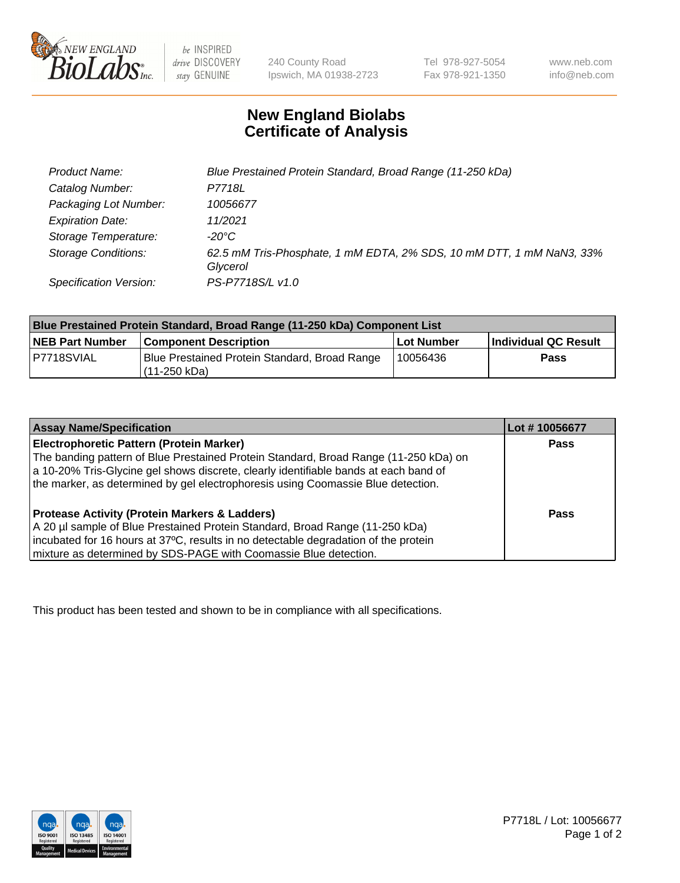

be INSPIRED drive DISCOVERY stay GENUINE

240 County Road Ipswich, MA 01938-2723 Tel 978-927-5054 Fax 978-921-1350

www.neb.com info@neb.com

## **New England Biolabs Certificate of Analysis**

| Product Name:                 | Blue Prestained Protein Standard, Broad Range (11-250 kDa)                       |
|-------------------------------|----------------------------------------------------------------------------------|
| Catalog Number:               | P7718L                                                                           |
| Packaging Lot Number:         | 10056677                                                                         |
| <b>Expiration Date:</b>       | 11/2021                                                                          |
| Storage Temperature:          | -20°C                                                                            |
| <b>Storage Conditions:</b>    | 62.5 mM Tris-Phosphate, 1 mM EDTA, 2% SDS, 10 mM DTT, 1 mM NaN3, 33%<br>Glycerol |
| <b>Specification Version:</b> | PS-P7718S/L v1.0                                                                 |

| Blue Prestained Protein Standard, Broad Range (11-250 kDa) Component List |                                                                 |              |                      |  |
|---------------------------------------------------------------------------|-----------------------------------------------------------------|--------------|----------------------|--|
| <b>NEB Part Number</b>                                                    | <b>Component Description</b>                                    | l Lot Number | Individual QC Result |  |
| P7718SVIAL                                                                | Blue Prestained Protein Standard, Broad Range<br>l (11-250 kDa) | 10056436     | <b>Pass</b>          |  |

| <b>Assay Name/Specification</b>                                                      | Lot #10056677 |
|--------------------------------------------------------------------------------------|---------------|
| Electrophoretic Pattern (Protein Marker)                                             | <b>Pass</b>   |
| The banding pattern of Blue Prestained Protein Standard, Broad Range (11-250 kDa) on |               |
| a 10-20% Tris-Glycine gel shows discrete, clearly identifiable bands at each band of |               |
| the marker, as determined by gel electrophoresis using Coomassie Blue detection.     |               |
|                                                                                      |               |
| <b>Protease Activity (Protein Markers &amp; Ladders)</b>                             | <b>Pass</b>   |
| A 20 µl sample of Blue Prestained Protein Standard, Broad Range (11-250 kDa)         |               |
| incubated for 16 hours at 37°C, results in no detectable degradation of the protein  |               |
| mixture as determined by SDS-PAGE with Coomassie Blue detection.                     |               |

This product has been tested and shown to be in compliance with all specifications.